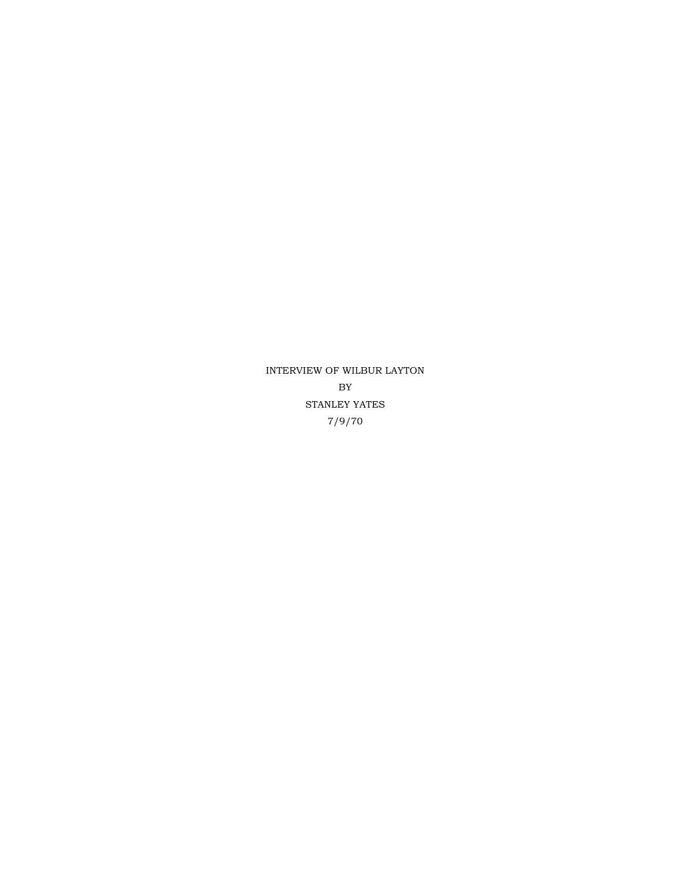INTERVIEW OF WILBUR LAYTON BY STANLEY YATES 7/9/70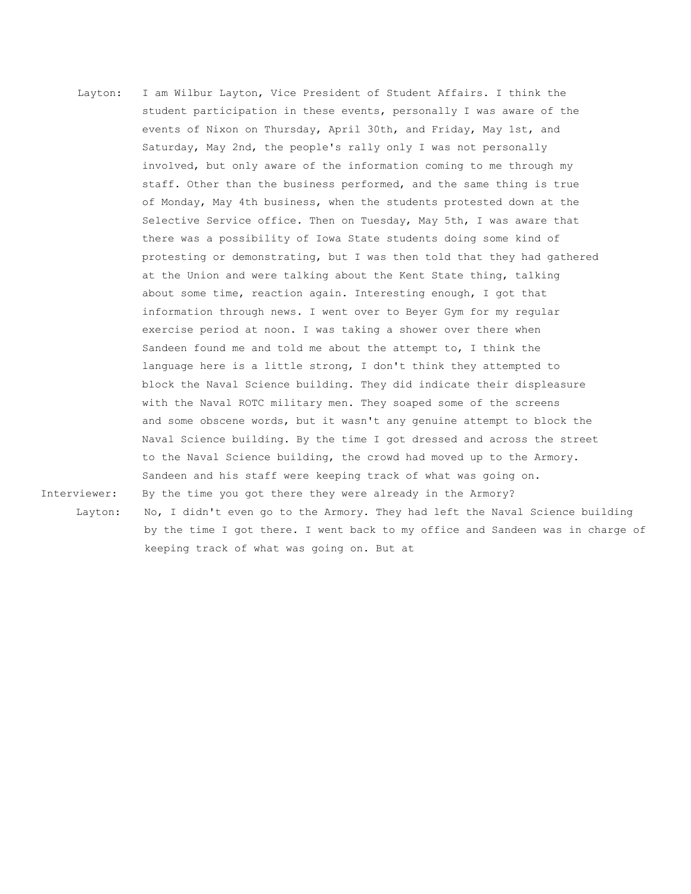- Layton: I am Wilbur Layton, Vice President of Student Affairs. I think the student participation in these events, personally I was aware of the events of Nixon on Thursday, April 30th, and Friday, May 1st, and Saturday, May 2nd, the people's rally only I was not personally involved, but only aware of the information coming to me through my staff. Other than the business performed, and the same thing is true of Monday, May 4th business, when the students protested down at the Selective Service office. Then on Tuesday, May 5th, I was aware that there was a possibility of Iowa State students doing some kind of protesting or demonstrating, but I was then told that they had gathered at the Union and were talking about the Kent State thing, talking about some time, reaction again. Interesting enough, I got that information through news. I went over to Beyer Gym for my regular exercise period at noon. I was taking a shower over there when Sandeen found me and told me about the attempt to, I think the language here is a little strong, I don't think they attempted to block the Naval Science building. They did indicate their displeasure with the Naval ROTC military men. They soaped some of the screens and some obscene words, but it wasn't any genuine attempt to block the Naval Science building. By the time I got dressed and across the street to the Naval Science building, the crowd had moved up to the Armory. Sandeen and his staff were keeping track of what was going on. Interviewer: By the time you got there they were already in the Armory?
- 

 Layton: No, I didn't even go to the Armory. They had left the Naval Science building by the time I got there. I went back to my office and Sandeen was in charge of keeping track of what was going on. But at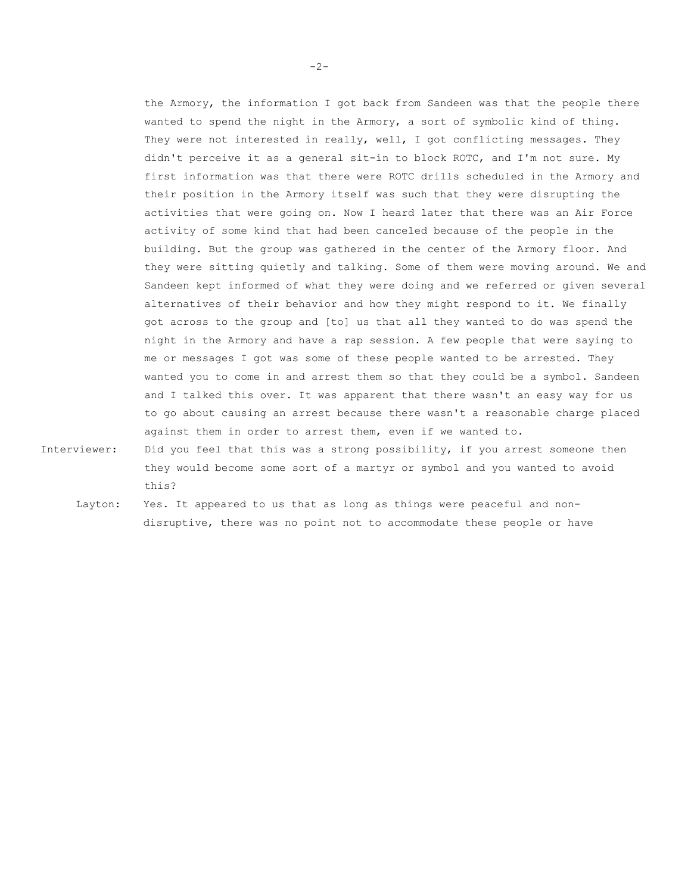the Armory, the information I got back from Sandeen was that the people there wanted to spend the night in the Armory, a sort of symbolic kind of thing. They were not interested in really, well, I got conflicting messages. They didn't perceive it as a general sit-in to block ROTC, and I'm not sure. My first information was that there were ROTC drills scheduled in the Armory and their position in the Armory itself was such that they were disrupting the activities that were going on. Now I heard later that there was an Air Force activity of some kind that had been canceled because of the people in the building. But the group was gathered in the center of the Armory floor. And they were sitting quietly and talking. Some of them were moving around. We and Sandeen kept informed of what they were doing and we referred or given several alternatives of their behavior and how they might respond to it. We finally got across to the group and [to] us that all they wanted to do was spend the night in the Armory and have a rap session. A few people that were saying to me or messages I got was some of these people wanted to be arrested. They wanted you to come in and arrest them so that they could be a symbol. Sandeen and I talked this over. It was apparent that there wasn't an easy way for us to go about causing an arrest because there wasn't a reasonable charge placed against them in order to arrest them, even if we wanted to.

- Interviewer: Did you feel that this was a strong possibility, if you arrest someone then they would become some sort of a martyr or symbol and you wanted to avoid this?
	- Layton: Yes. It appeared to us that as long as things were peaceful and nondisruptive, there was no point not to accommodate these people or have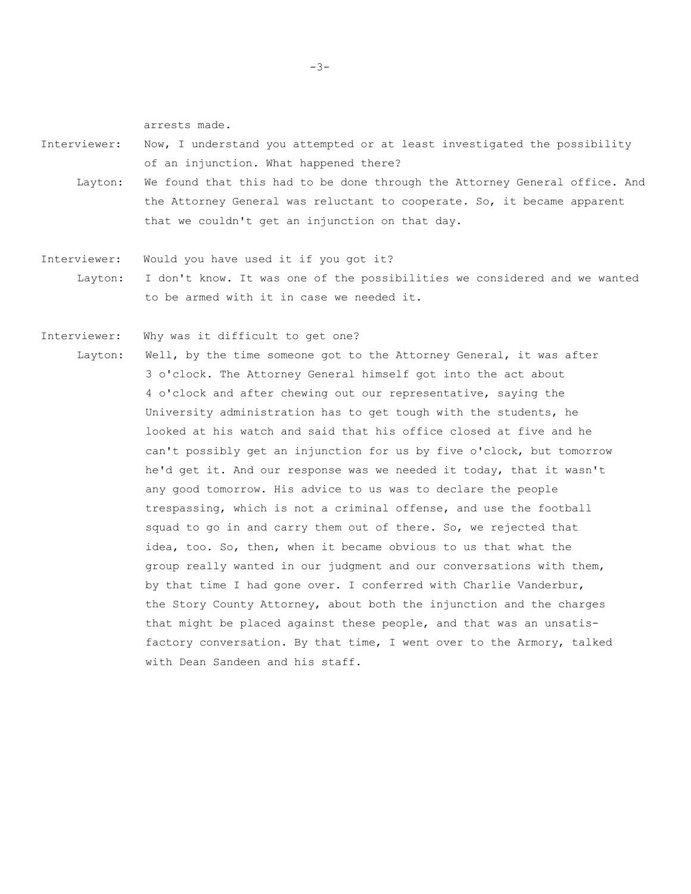arrests made.

- Interviewer: Now, I understand you attempted or at least investigated the possibility of an injunction. What happened there?
	- Layton: We found that this had to be done through the Attorney General office. And the Attorney General was reluctant to cooperate. So, it became apparent that we couldn't get an injunction on that day.
- Interviewer: Would you have used it if you got it? Layton: I don't know. It was one of the possibilities we considered and we wanted to be armed with it in case we needed it.

Interviewer: Why was it difficult to get one?

Layton: Well, by the time someone got to the Attorney General, it was after 3 o'clock. The Attorney General himself got into the act about 4 o'clock and after chewing out our representative, saying the University administration has to get tough with the students, he looked at his watch and said that his office closed at five and he can't possibly get an injunction for us by five o'clock, but tomorrow he'd get it. And our response was we needed it today, that it wasn't any good tomorrow. His advice to us was to declare the people trespassing, which is not a criminal offense, and use the football squad to go in and carry them out of there. So, we rejected that idea, too. So, then, when it became obvious to us that what the group really wanted in our judgment and our conversations with them, by that time I had gone over. I conferred with Charlie Vanderbur, the Story County Attorney, about both the injunction and the charges that might be placed against these people, and that was an unsatisfactory conversation. By that time, I went over to the Armory, talked with Dean Sandeen and his staff.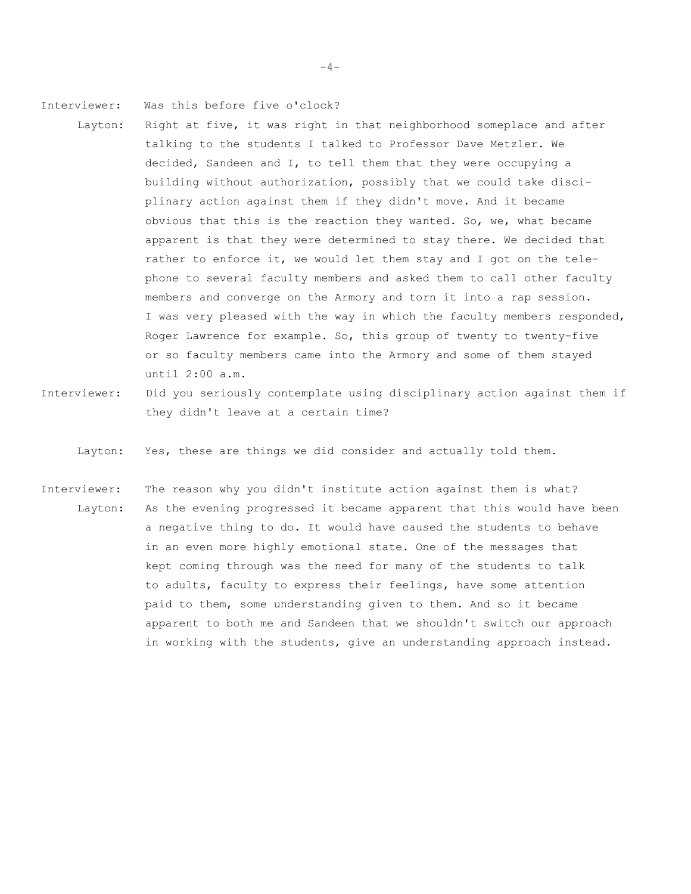Interviewer: Was this before five o'clock?

- Layton: Right at five, it was right in that neighborhood someplace and after talking to the students I talked to Professor Dave Metzler. We decided, Sandeen and I, to tell them that they were occupying a building without authorization, possibly that we could take disciplinary action against them if they didn't move. And it became obvious that this is the reaction they wanted. So, we, what became apparent is that they were determined to stay there. We decided that rather to enforce it, we would let them stay and I got on the telephone to several faculty members and asked them to call other faculty members and converge on the Armory and torn it into a rap session. I was very pleased with the way in which the faculty members responded, Roger Lawrence for example. So, this group of twenty to twenty-five or so faculty members came into the Armory and some of them stayed until 2:00 a.m.
- Interviewer: Did you seriously contemplate using disciplinary action against them if they didn't leave at a certain time?

Layton: Yes, these are things we did consider and actually told them.

Interviewer: The reason why you didn't institute action against them is what? Layton: As the evening progressed it became apparent that this would have been a negative thing to do. It would have caused the students to behave in an even more highly emotional state. One of the messages that kept coming through was the need for many of the students to talk to adults, faculty to express their feelings, have some attention paid to them, some understanding given to them. And so it became apparent to both me and Sandeen that we shouldn't switch our approach in working with the students, give an understanding approach instead.

 $-4-$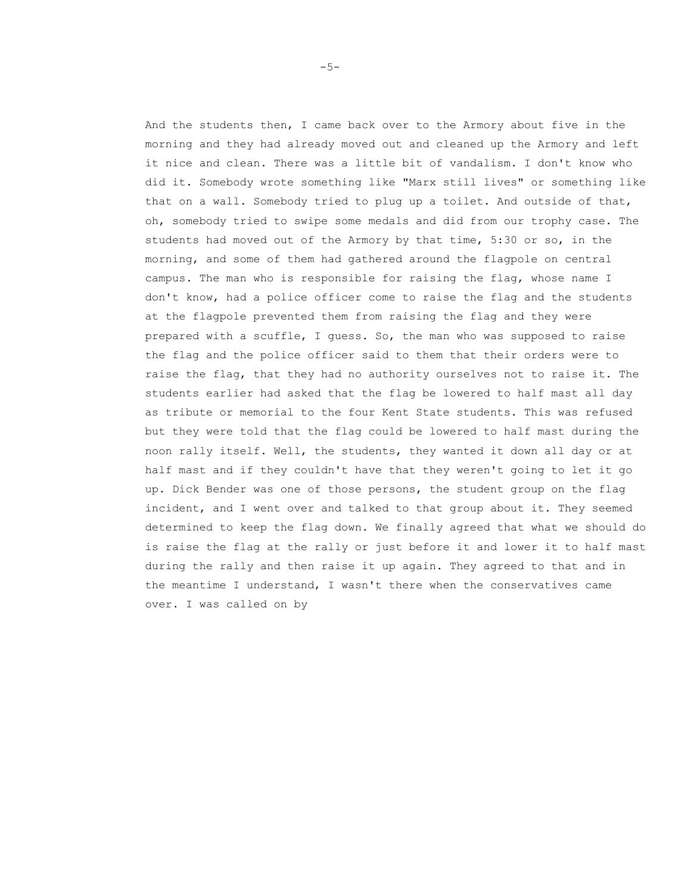And the students then, I came back over to the Armory about five in the morning and they had already moved out and cleaned up the Armory and left it nice and clean. There was a little bit of vandalism. I don't know who did it. Somebody wrote something like "Marx still lives" or something like that on a wall. Somebody tried to plug up a toilet. And outside of that, oh, somebody tried to swipe some medals and did from our trophy case. The students had moved out of the Armory by that time, 5:30 or so, in the morning, and some of them had gathered around the flagpole on central campus. The man who is responsible for raising the flag, whose name I don't know, had a police officer come to raise the flag and the students at the flagpole prevented them from raising the flag and they were prepared with a scuffle, I guess. So, the man who was supposed to raise the flag and the police officer said to them that their orders were to raise the flag, that they had no authority ourselves not to raise it. The students earlier had asked that the flag be lowered to half mast all day as tribute or memorial to the four Kent State students. This was refused but they were told that the flag could be lowered to half mast during the noon rally itself. Well, the students, they wanted it down all day or at half mast and if they couldn't have that they weren't going to let it go up. Dick Bender was one of those persons, the student group on the flag incident, and I went over and talked to that group about it. They seemed determined to keep the flag down. We finally agreed that what we should do is raise the flag at the rally or just before it and lower it to half mast during the rally and then raise it up again. They agreed to that and in the meantime I understand, I wasn't there when the conservatives came over. I was called on by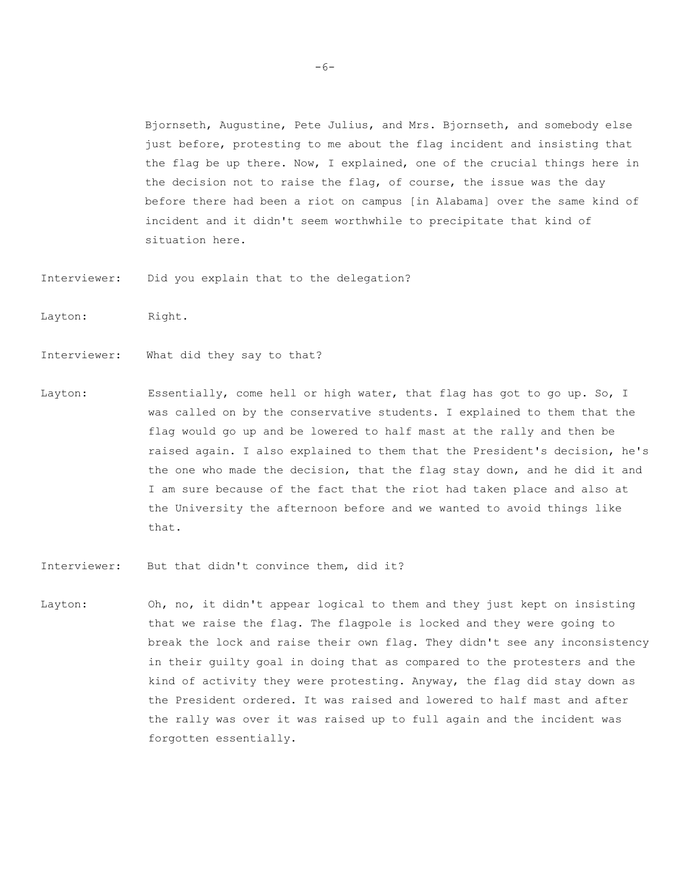Bjornseth, Augustine, Pete Julius, and Mrs. Bjornseth, and somebody else just before, protesting to me about the flag incident and insisting that the flag be up there. Now, I explained, one of the crucial things here in the decision not to raise the flag, of course, the issue was the day before there had been a riot on campus [in Alabama] over the same kind of incident and it didn't seem worthwhile to precipitate that kind of situation here.

- Interviewer: Did you explain that to the delegation?
- Layton: Right.
- Interviewer: What did they say to that?
- Layton: Essentially, come hell or high water, that flag has got to go up. So, I was called on by the conservative students. I explained to them that the flag would go up and be lowered to half mast at the rally and then be raised again. I also explained to them that the President's decision, he's the one who made the decision, that the flag stay down, and he did it and I am sure because of the fact that the riot had taken place and also at the University the afternoon before and we wanted to avoid things like that.
- Interviewer: But that didn't convince them, did it?
- Layton: Oh, no, it didn't appear logical to them and they just kept on insisting that we raise the flag. The flagpole is locked and they were going to break the lock and raise their own flag. They didn't see any inconsistency in their guilty goal in doing that as compared to the protesters and the kind of activity they were protesting. Anyway, the flag did stay down as the President ordered. It was raised and lowered to half mast and after the rally was over it was raised up to full again and the incident was forgotten essentially.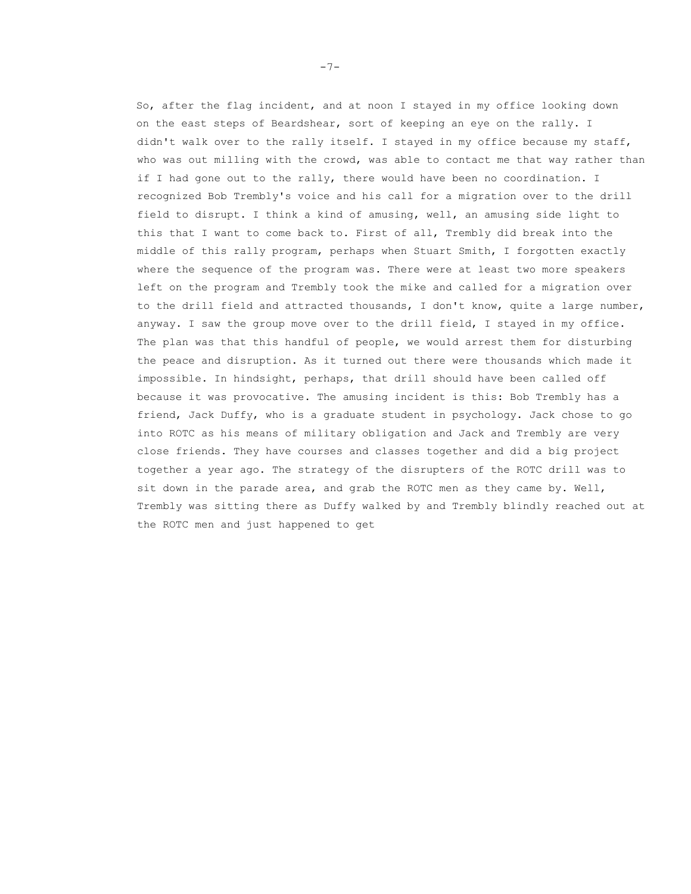So, after the flag incident, and at noon I stayed in my office looking down on the east steps of Beardshear, sort of keeping an eye on the rally. I didn't walk over to the rally itself. I stayed in my office because my staff, who was out milling with the crowd, was able to contact me that way rather than if I had gone out to the rally, there would have been no coordination. I recognized Bob Trembly's voice and his call for a migration over to the drill field to disrupt. I think a kind of amusing, well, an amusing side light to this that I want to come back to. First of all, Trembly did break into the middle of this rally program, perhaps when Stuart Smith, I forgotten exactly where the sequence of the program was. There were at least two more speakers left on the program and Trembly took the mike and called for a migration over to the drill field and attracted thousands, I don't know, quite a large number, anyway. I saw the group move over to the drill field, I stayed in my office. The plan was that this handful of people, we would arrest them for disturbing the peace and disruption. As it turned out there were thousands which made it impossible. In hindsight, perhaps, that drill should have been called off because it was provocative. The amusing incident is this: Bob Trembly has a friend, Jack Duffy, who is a graduate student in psychology. Jack chose to go into ROTC as his means of military obligation and Jack and Trembly are very close friends. They have courses and classes together and did a big project together a year ago. The strategy of the disrupters of the ROTC drill was to sit down in the parade area, and grab the ROTC men as they came by. Well, Trembly was sitting there as Duffy walked by and Trembly blindly reached out at the ROTC men and just happened to get

-7-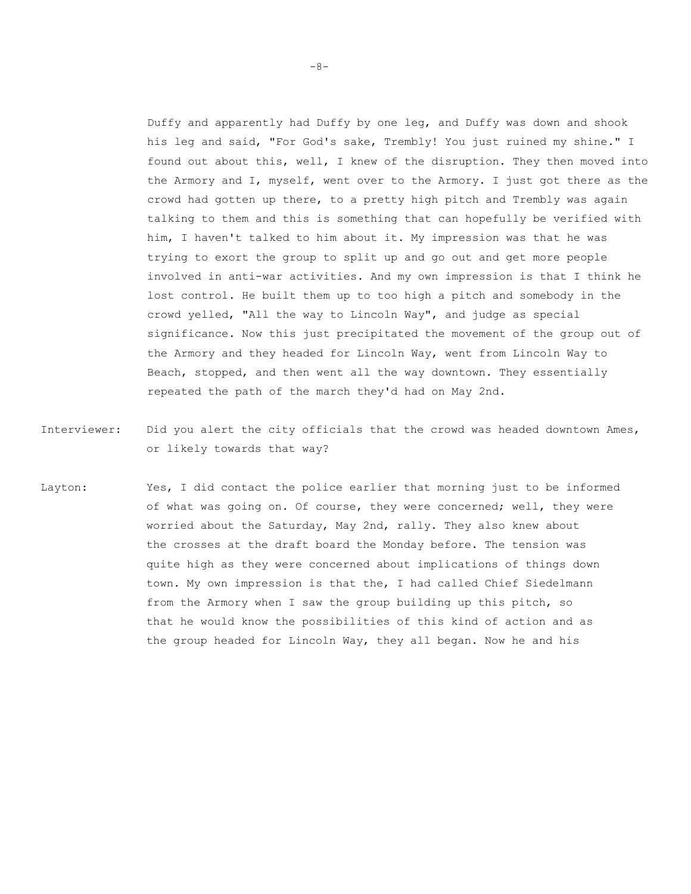Duffy and apparently had Duffy by one leg, and Duffy was down and shook his leg and said, "For God's sake, Trembly! You just ruined my shine." I found out about this, well, I knew of the disruption. They then moved into the Armory and I, myself, went over to the Armory. I just got there as the crowd had gotten up there, to a pretty high pitch and Trembly was again talking to them and this is something that can hopefully be verified with him, I haven't talked to him about it. My impression was that he was trying to exort the group to split up and go out and get more people involved in anti-war activities. And my own impression is that I think he lost control. He built them up to too high a pitch and somebody in the crowd yelled, "All the way to Lincoln Way", and judge as special significance. Now this just precipitated the movement of the group out of the Armory and they headed for Lincoln Way, went from Lincoln Way to Beach, stopped, and then went all the way downtown. They essentially repeated the path of the march they'd had on May 2nd.

- Interviewer: Did you alert the city officials that the crowd was headed downtown Ames, or likely towards that way?
- Layton: Yes, I did contact the police earlier that morning just to be informed of what was going on. Of course, they were concerned; well, they were worried about the Saturday, May 2nd, rally. They also knew about the crosses at the draft board the Monday before. The tension was quite high as they were concerned about implications of things down town. My own impression is that the, I had called Chief Siedelmann from the Armory when I saw the group building up this pitch, so that he would know the possibilities of this kind of action and as the group headed for Lincoln Way, they all began. Now he and his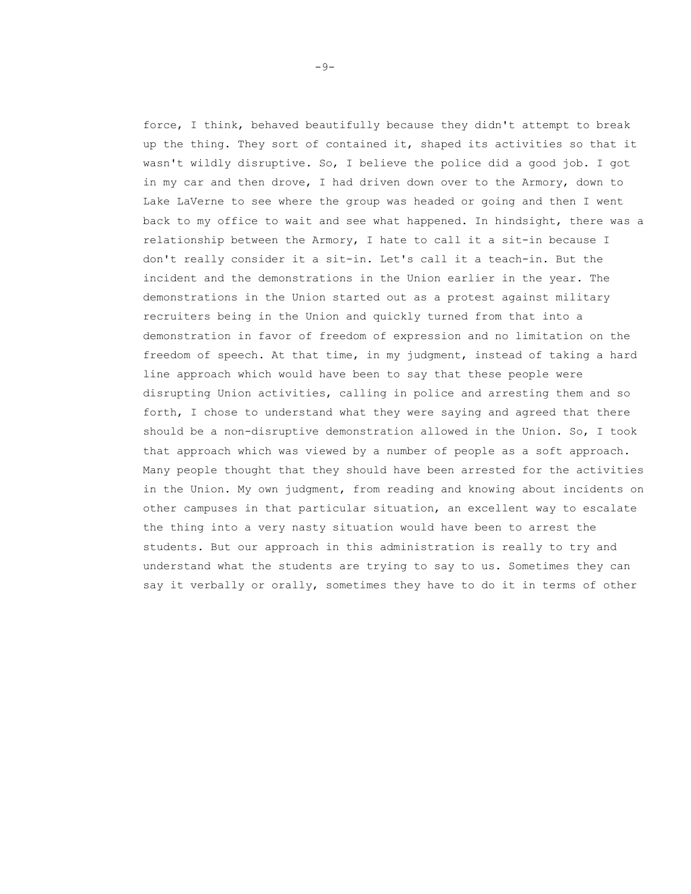force, I think, behaved beautifully because they didn't attempt to break up the thing. They sort of contained it, shaped its activities so that it wasn't wildly disruptive. So, I believe the police did a good job. I got in my car and then drove, I had driven down over to the Armory, down to Lake LaVerne to see where the group was headed or going and then I went back to my office to wait and see what happened. In hindsight, there was a relationship between the Armory, I hate to call it a sit-in because I don't really consider it a sit-in. Let's call it a teach-in. But the incident and the demonstrations in the Union earlier in the year. The demonstrations in the Union started out as a protest against military recruiters being in the Union and quickly turned from that into a demonstration in favor of freedom of expression and no limitation on the freedom of speech. At that time, in my judgment, instead of taking a hard line approach which would have been to say that these people were disrupting Union activities, calling in police and arresting them and so forth, I chose to understand what they were saying and agreed that there should be a non-disruptive demonstration allowed in the Union. So, I took that approach which was viewed by a number of people as a soft approach. Many people thought that they should have been arrested for the activities in the Union. My own judgment, from reading and knowing about incidents on other campuses in that particular situation, an excellent way to escalate the thing into a very nasty situation would have been to arrest the students. But our approach in this administration is really to try and understand what the students are trying to say to us. Sometimes they can say it verbally or orally, sometimes they have to do it in terms of other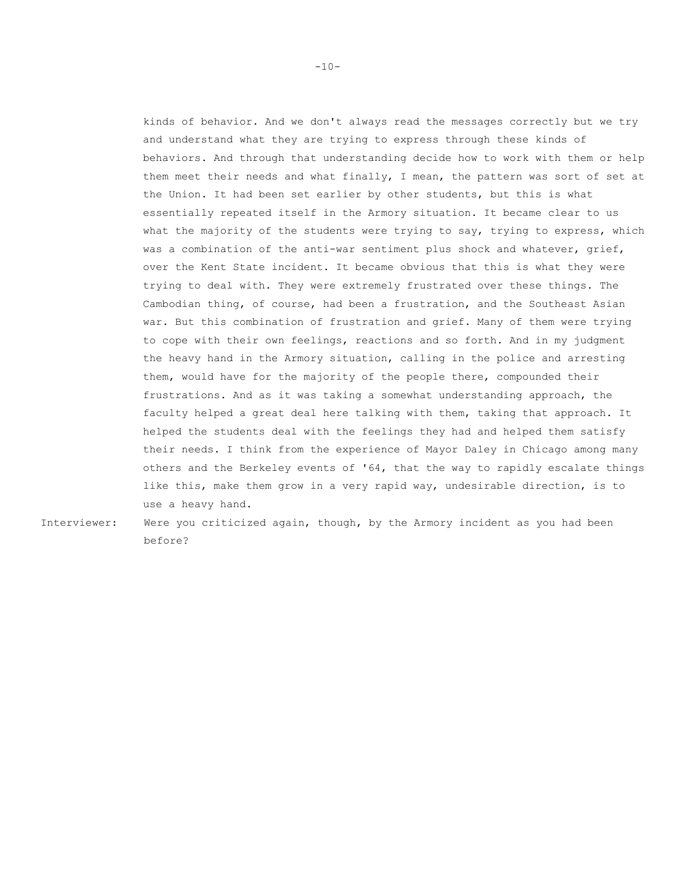kinds of behavior. And we don't always read the messages correctly but we try and understand what they are trying to express through these kinds of behaviors. And through that understanding decide how to work with them or help them meet their needs and what finally, I mean, the pattern was sort of set at the Union. It had been set earlier by other students, but this is what essentially repeated itself in the Armory situation. It became clear to us what the majority of the students were trying to say, trying to express, which was a combination of the anti-war sentiment plus shock and whatever, grief, over the Kent State incident. It became obvious that this is what they were trying to deal with. They were extremely frustrated over these things. The Cambodian thing, of course, had been a frustration, and the Southeast Asian war. But this combination of frustration and grief. Many of them were trying to cope with their own feelings, reactions and so forth. And in my judgment the heavy hand in the Armory situation, calling in the police and arresting them, would have for the majority of the people there, compounded their frustrations. And as it was taking a somewhat understanding approach, the faculty helped a great deal here talking with them, taking that approach. It helped the students deal with the feelings they had and helped them satisfy their needs. I think from the experience of Mayor Daley in Chicago among many others and the Berkeley events of '64, that the way to rapidly escalate things like this, make them grow in a very rapid way, undesirable direction, is to use a heavy hand.

Interviewer: Were you criticized again, though, by the Armory incident as you had been before?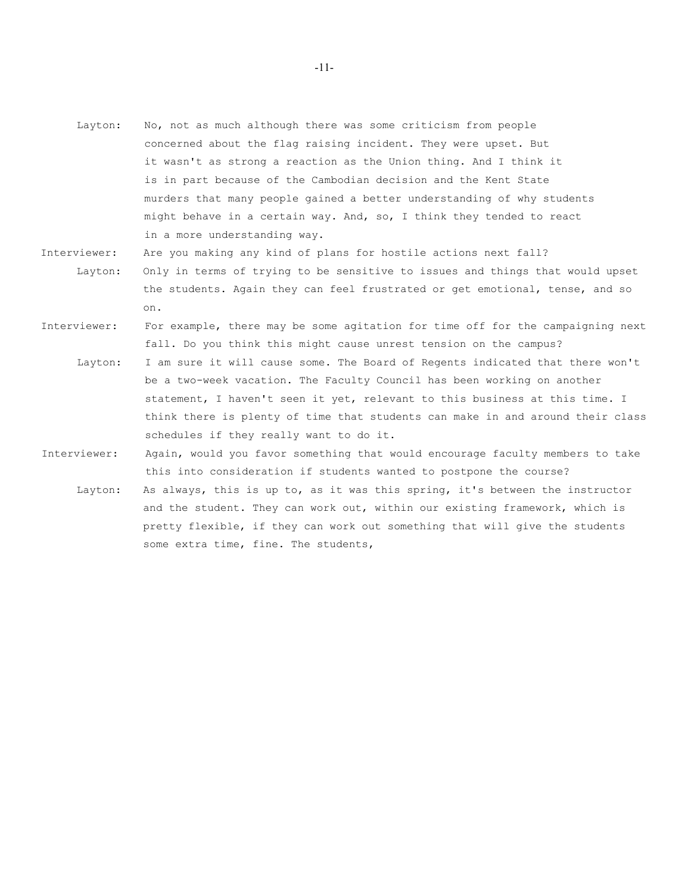- Layton: No, not as much although there was some criticism from people concerned about the flag raising incident. They were upset. But it wasn't as strong a reaction as the Union thing. And I think it is in part because of the Cambodian decision and the Kent State murders that many people gained a better understanding of why students might behave in a certain way. And, so, I think they tended to react in a more understanding way.
- Interviewer: Are you making any kind of plans for hostile actions next fall? Layton: Only in terms of trying to be sensitive to issues and things that would upset the students. Again they can feel frustrated or get emotional, tense, and so on.
- Interviewer: For example, there may be some agitation for time off for the campaigning next fall. Do you think this might cause unrest tension on the campus? Layton: I am sure it will cause some. The Board of Regents indicated that there won't be a two-week vacation. The Faculty Council has been working on another statement, I haven't seen it yet, relevant to this business at this time. I think there is plenty of time that students can make in and around their class
- Interviewer: Again, would you favor something that would encourage faculty members to take this into consideration if students wanted to postpone the course?

schedules if they really want to do it.

Layton: As always, this is up to, as it was this spring, it's between the instructor and the student. They can work out, within our existing framework, which is pretty flexible, if they can work out something that will give the students some extra time, fine. The students,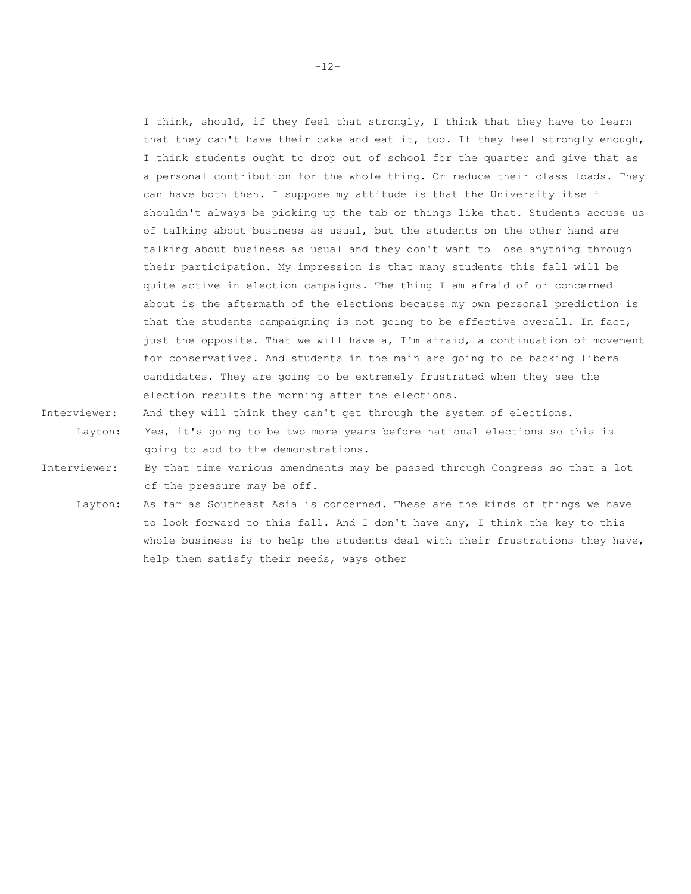I think, should, if they feel that strongly, I think that they have to learn that they can't have their cake and eat it, too. If they feel strongly enough, I think students ought to drop out of school for the quarter and give that as a personal contribution for the whole thing. Or reduce their class loads. They can have both then. I suppose my attitude is that the University itself shouldn't always be picking up the tab or things like that. Students accuse us of talking about business as usual, but the students on the other hand are talking about business as usual and they don't want to lose anything through their participation. My impression is that many students this fall will be quite active in election campaigns. The thing I am afraid of or concerned about is the aftermath of the elections because my own personal prediction is that the students campaigning is not going to be effective overall. In fact, just the opposite. That we will have a, I'm afraid, a continuation of movement for conservatives. And students in the main are going to be backing liberal candidates. They are going to be extremely frustrated when they see the election results the morning after the elections.

- Interviewer: And they will think they can't get through the system of elections. Layton: Yes, it's going to be two more years before national elections so this is going to add to the demonstrations.
- Interviewer: By that time various amendments may be passed through Congress so that a lot of the pressure may be off.
	- Layton: As far as Southeast Asia is concerned. These are the kinds of things we have to look forward to this fall. And I don't have any, I think the key to this whole business is to help the students deal with their frustrations they have, help them satisfy their needs, ways other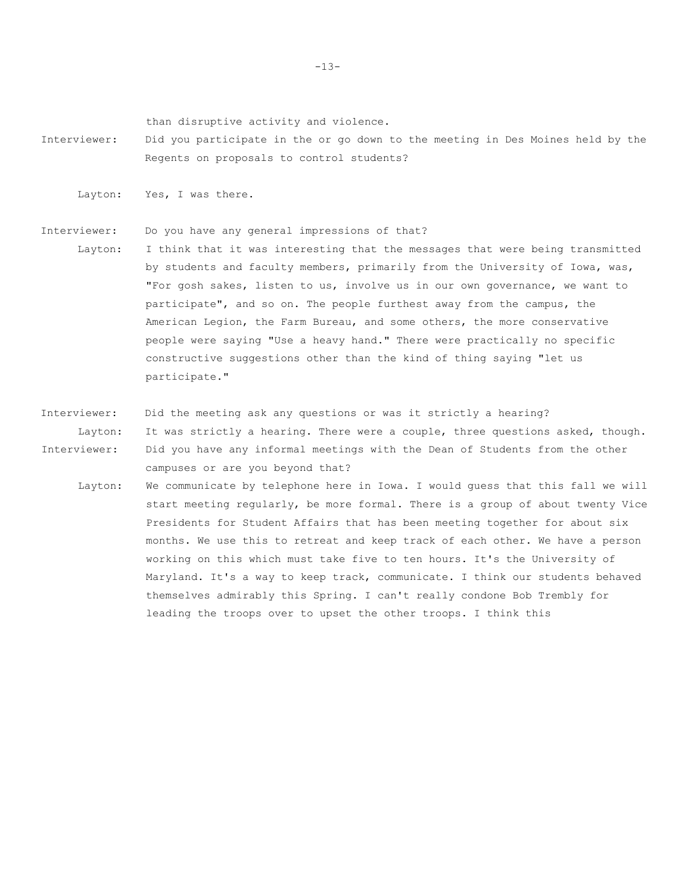than disruptive activity and violence.

Interviewer: Did you participate in the or go down to the meeting in Des Moines held by the Regents on proposals to control students?

Layton: Yes, I was there.

Interviewer: Do you have any general impressions of that?

- Layton: I think that it was interesting that the messages that were being transmitted by students and faculty members, primarily from the University of Iowa, was, "For gosh sakes, listen to us, involve us in our own governance, we want to participate", and so on. The people furthest away from the campus, the American Legion, the Farm Bureau, and some others, the more conservative people were saying "Use a heavy hand." There were practically no specific constructive suggestions other than the kind of thing saying "let us participate."
- Interviewer: Did the meeting ask any questions or was it strictly a hearing? Layton: It was strictly a hearing. There were a couple, three questions asked, though. Interviewer: Did you have any informal meetings with the Dean of Students from the other campuses or are you beyond that?
	- Layton: We communicate by telephone here in Iowa. I would guess that this fall we will start meeting regularly, be more formal. There is a group of about twenty Vice Presidents for Student Affairs that has been meeting together for about six months. We use this to retreat and keep track of each other. We have a person working on this which must take five to ten hours. It's the University of Maryland. It's a way to keep track, communicate. I think our students behaved themselves admirably this Spring. I can't really condone Bob Trembly for leading the troops over to upset the other troops. I think this

-13-